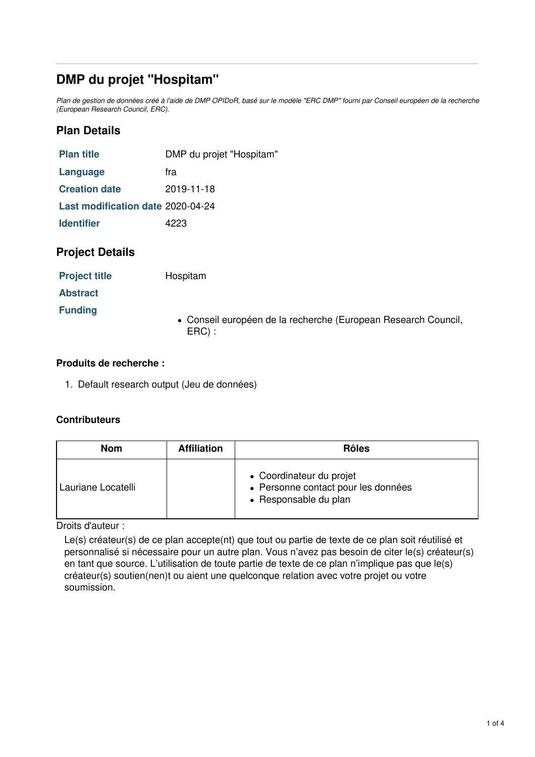# **DMP du projet "Hospitam"**

Plan de gestion de données créé à l'aide de DMP OPIDoR, basé sur le modèle "ERC DMP" fourni par Conseil européen de la recherche *(European Research Council, ERC).*

## **Plan Details**

| <b>Plan title</b>                 | DMP du projet "Hospitam" |
|-----------------------------------|--------------------------|
| Language                          | fra                      |
| <b>Creation date</b>              | 2019-11-18               |
| Last modification date 2020-04-24 |                          |
| <b>Identifier</b>                 | 4223                     |

## **Project Details**

| <b>Project title</b> | Hospitam |
|----------------------|----------|
|----------------------|----------|

**Abstract**

**Funding**

Conseil européen de la recherche (European Research Council, ERC) :

## **Produits de recherche :**

1. Default research output (Jeu de données)

### **Contributeurs**

| <b>Nom</b>         | <b>Affiliation</b> | <b>Rôles</b>                                                                             |
|--------------------|--------------------|------------------------------------------------------------------------------------------|
| Lauriane Locatelli |                    | • Coordinateur du projet<br>• Personne contact pour les données<br>• Responsable du plan |

Droits d'auteur :

Le(s) créateur(s) de ce plan accepte(nt) que tout ou partie de texte de ce plan soit réutilisé et personnalisé si nécessaire pour un autre plan. Vous n'avez pas besoin de citer le(s) créateur(s) en tant que source. L'utilisation de toute partie de texte de ce plan n'implique pas que le(s) créateur(s) soutien(nen)t ou aient une quelconque relation avec votre projet ou votre soumission.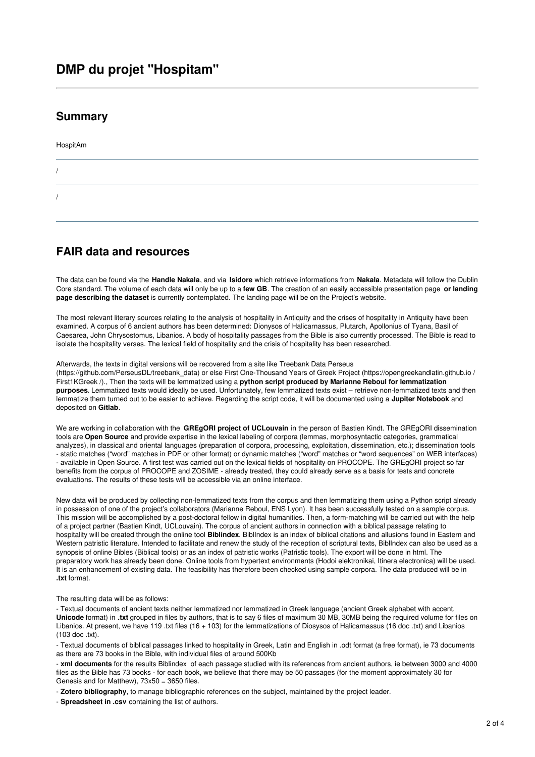## **DMP du projet "Hospitam"**

### **Summary**

HospitAm

/

/

## **FAIR data and resources**

The data can be found via the **Handle Nakala**, and via **Isidore** which retrieve informations from **Nakala**. Metadata will follow the Dublin Core standard. The volume of each data will only be up to a **few GB**. The creation of an easily accessible presentation page **or landing page describing the dataset** is currently contemplated. The landing page will be on the Project's website.

The most relevant literary sources relating to the analysis of hospitality in Antiquity and the crises of hospitality in Antiquity have been examined. A corpus of 6 ancient authors has been determined: Dionysos of Halicarnassus, Plutarch, Apollonius of Tyana, Basil of Caesarea, John Chrysostomus, Libanios. A body of hospitality passages from the Bible is also currently processed. The Bible is read to isolate the hospitality verses. The lexical field of hospitality and the crisis of hospitality has been researched.

Afterwards, the texts in digital versions will be recovered from a site like Treebank Data Perseus (https://github.com/PerseusDL/treebank\_data) or else First One-Thousand Years of Greek Project (https://opengreekandlatin.github.io / First1KGreek /)., Then the texts will be lemmatized using a **python script produced by Marianne Reboul for lemmatization purposes**. Lemmatized texts would ideally be used. Unfortunately, few lemmatized texts exist – retrieve non-lemmatized texts and then lemmatize them turned out to be easier to achieve. Regarding the script code, it will be documented using a **Jupiter Notebook** and deposited on **Gitlab**.

We are working in collaboration with the **GREgORI project of UCLouvain** in the person of Bastien Kindt. The GREgORI dissemination tools are **Open Source** and provide expertise in the lexical labeling of corpora (lemmas, morphosyntactic categories, grammatical analyzes), in classical and oriental languages (preparation of corpora, processing, exploitation, dissemination, etc.); dissemination tools - static matches ("word" matches in PDF or other format) or dynamic matches ("word" matches or "word sequences" on WEB interfaces) - available in Open Source. A first test was carried out on the lexical fields of hospitality on PROCOPE. The GREgORI project so far benefits from the corpus of PROCOPE and ZOSIME - already treated, they could already serve as a basis for tests and concrete evaluations. The results of these tests will be accessible via an online interface.

New data will be produced by collecting non-lemmatized texts from the corpus and then lemmatizing them using a Python script already in possession of one of the project's collaborators (Marianne Reboul, ENS Lyon). It has been successfully tested on a sample corpus. This mission will be accomplished by a post-doctoral fellow in digital humanities. Then, a form-matching will be carried out with the help of a project partner (Bastien Kindt, UCLouvain). The corpus of ancient authors in connection with a biblical passage relating to hospitality will be created through the online tool **Biblindex**. BiblIndex is an index of biblical citations and allusions found in Eastern and Western patristic literature. Intended to facilitate and renew the study of the reception of scriptural texts, BiblIndex can also be used as a synopsis of online Bibles (Biblical tools) or as an index of patristic works (Patristic tools). The export will be done in html. The preparatory work has already been done. Online tools from hypertext environments (Hodoi elektronikai, Itinera electronica) will be used. It is an enhancement of existing data. The feasibility has therefore been checked using sample corpora. The data produced will be in **.txt** format.

#### The resulting data will be as follows:

- Textual documents of ancient texts neither lemmatized nor lemmatized in Greek language (ancient Greek alphabet with accent, **Unicode** format) in **.txt** grouped in files by authors, that is to say 6 files of maximum 30 MB, 30MB being the required volume for files on Libanios. At present, we have 119 .txt files (16 + 103) for the lemmatizations of Diosysos of Halicarnassus (16 doc .txt) and Libanios (103 doc .txt).

- Textual documents of biblical passages linked to hospitality in Greek, Latin and English in .odt format (a free format), ie 73 documents as there are 73 books in the Bible, with individual files of around 500Kb

- **xml documents** for the results Biblindex of each passage studied with its references from ancient authors, ie between 3000 and 4000 files as the Bible has 73 books - for each book, we believe that there may be 50 passages (for the moment approximately 30 for Genesis and for Matthew), 73x50 = 3650 files.

- **Zotero bibliography**, to manage bibliographic references on the subject, maintained by the project leader.

- **Spreadsheet in .csv** containing the list of authors.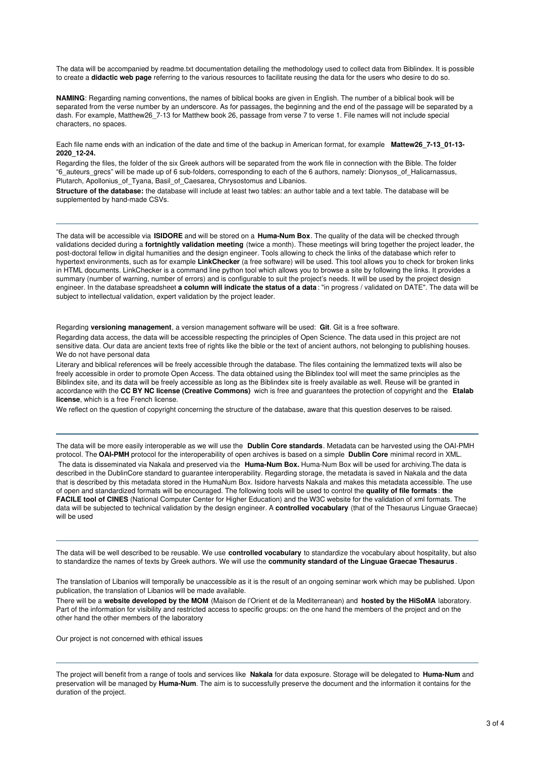The data will be accompanied by readme.txt documentation detailing the methodology used to collect data from Biblindex. It is possible to create a **didactic web page** referring to the various resources to facilitate reusing the data for the users who desire to do so.

**NAMING**: Regarding naming conventions, the names of biblical books are given in English. The number of a biblical book will be separated from the verse number by an underscore. As for passages, the beginning and the end of the passage will be separated by a dash. For example, Matthew26\_7-13 for Matthew book 26, passage from verse 7 to verse 1. File names will not include special characters, no spaces.

Each file name ends with an indication of the date and time of the backup in American format, for example **Mattew26\_7-13\_01-13- 2020\_12-24.**

Regarding the files, the folder of the six Greek authors will be separated from the work file in connection with the Bible. The folder "6\_auteurs\_grecs" will be made up of 6 sub-folders, corresponding to each of the 6 authors, namely: Dionysos\_of\_Halicarnassus, Plutarch, Apollonius\_of\_Tyana, Basil\_of\_Caesarea, Chrysostomus and Libanios.

**Structure of the database:** the database will include at least two tables: an author table and a text table. The database will be supplemented by hand-made CSVs.

The data will be accessible via **ISIDORE** and will be stored on a **Huma-Num Box**. The quality of the data will be checked through validations decided during a **fortnightly validation meeting** (twice a month). These meetings will bring together the project leader, the post-doctoral fellow in digital humanities and the design engineer. Tools allowing to check the links of the database which refer to hypertext environments, such as for example **LinkChecker** (a free software) will be used. This tool allows you to check for broken links in HTML documents. LinkChecker is a command line python tool which allows you to browse a site by following the links. It provides a summary (number of warning, number of errors) and is configurable to suit the project's needs. It will be used by the project design engineer. In the database spreadsheet **a column will indicate the status of a data** : "in progress / validated on DATE". The data will be subject to intellectual validation, expert validation by the project leader.

Regarding **versioning management**, a version management software will be used: **Git**. Git is a free software.

Regarding data access, the data will be accessible respecting the principles of Open Science. The data used in this project are not sensitive data. Our data are ancient texts free of rights like the bible or the text of ancient authors, not belonging to publishing houses. We do not have personal data

Literary and biblical references will be freely accessible through the database. The files containing the lemmatized texts will also be freely accessible in order to promote Open Access. The data obtained using the Biblindex tool will meet the same principles as the Biblindex site, and its data will be freely accessible as long as the Biblindex site is freely available as well. Reuse will be granted in accordance with the **CC BY NC license (Creative Commons)** wich is free and guarantees the protection of copyright and the **Etalab license**, which is a free French license.

We reflect on the question of copyright concerning the structure of the database, aware that this question deserves to be raised.

The data will be more easily interoperable as we will use the **Dublin Core standards**. Metadata can be harvested using the OAI-PMH protocol. The **OAI-PMH** protocol for the interoperability of open archives is based on a simple **Dublin Core** minimal record in XML. The data is disseminated via Nakala and preserved via the **Huma-Num Box.** Huma-Num Box will be used for archiving.The data is described in the DublinCore standard to guarantee interoperability. Regarding storage, the metadata is saved in Nakala and the data that is described by this metadata stored in the HumaNum Box. Isidore harvests Nakala and makes this metadata accessible. The use of open and standardized formats will be encouraged. The following tools will be used to control the **quality of file formats**: **the FACILE tool of CINES** (National Computer Center for Higher Education) and the W3C website for the validation of xml formats. The data will be subjected to technical validation by the design engineer. A **controlled vocabulary** (that of the Thesaurus Linguae Graecae) will be used

The data will be well described to be reusable. We use **controlled vocabulary** to standardize the vocabulary about hospitality, but also to standardize the names of texts by Greek authors. We will use the **community standard of the Linguae Graecae Thesaurus**.

The translation of Libanios will temporally be unaccessible as it is the result of an ongoing seminar work which may be published. Upon publication, the translation of Libanios will be made available.

There will be a **website developed by the MOM** (Maison de l'Orient et de la Mediterranean) and **hosted by the HiSoMA** laboratory. Part of the information for visibility and restricted access to specific groups: on the one hand the members of the project and on the other hand the other members of the laboratory

Our project is not concerned with ethical issues

The project will benefit from a range of tools and services like **Nakala** for data exposure. Storage will be delegated to **Huma-Num** and preservation will be managed by **Huma-Num**. The aim is to successfully preserve the document and the information it contains for the duration of the project.